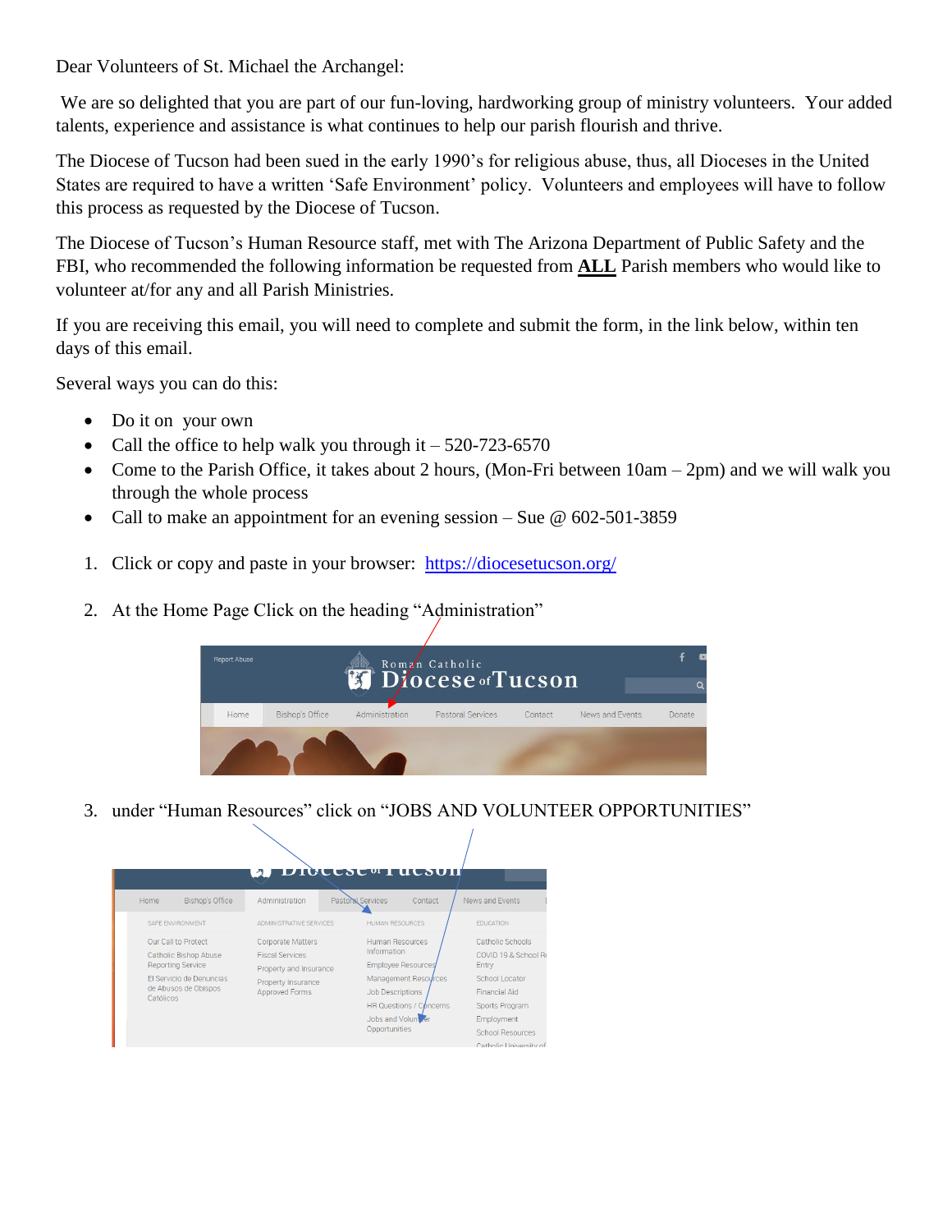Dear Volunteers of St. Michael the Archangel:

We are so delighted that you are part of our fun-loving, hardworking group of ministry volunteers. Your added talents, experience and assistance is what continues to help our parish flourish and thrive.

The Diocese of Tucson had been sued in the early 1990's for religious abuse, thus, all Dioceses in the United States are required to have a written 'Safe Environment' policy. Volunteers and employees will have to follow this process as requested by the Diocese of Tucson.

The Diocese of Tucson's Human Resource staff, met with The Arizona Department of Public Safety and the FBI, who recommended the following information be requested from **ALL** Parish members who would like to volunteer at/for any and all Parish Ministries.

If you are receiving this email, you will need to complete and submit the form, in the link below, within ten days of this email.

Several ways you can do this:

- Do it on your own
- Call the office to help walk you through it  $-520-723-6570$
- Come to the Parish Office, it takes about 2 hours, (Mon-Fri between  $10am 2pm$ ) and we will walk you through the whole process
- Call to make an appointment for an evening session Sue  $\omega$  602-501-3859
- 1. Click or copy and paste in your browser: <https://diocesetucson.org/>
- 2. At the Home Page Click on the heading "Administration"



3. under "Human Resources" click on "JOBS AND VOLUNTEER OPPORTUNITIES"

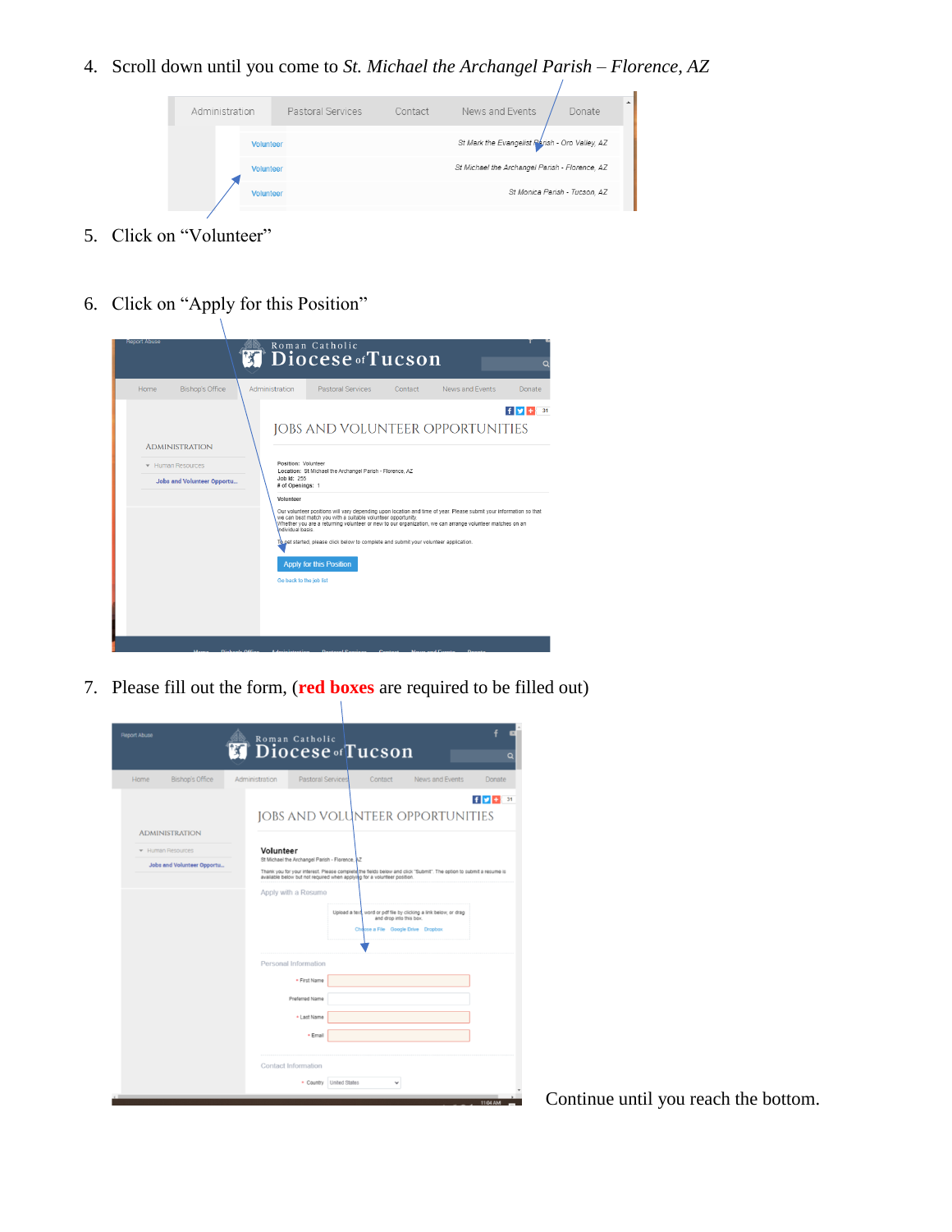4. Scroll down until you come to *St. Michael the Archangel Parish – Florence, AZ*

| Administration   | Pastoral Services | Contact | News and Events                                | Donate                        |
|------------------|-------------------|---------|------------------------------------------------|-------------------------------|
|                  |                   |         |                                                |                               |
| <b>Volunteer</b> |                   |         | St Mark the Evangelist Rarish - Oro Valley, AZ |                               |
| Volunteer        |                   |         | St Michael the Archangel Parish - Florence, AZ |                               |
| <b>Volunteer</b> |                   |         |                                                | St Monica Parish - Tucson, AZ |
|                  |                   |         |                                                |                               |

- 5. Click on "Volunteer"
- 6. Click on "Apply for this Position"



7. Please fill out the form, (**red boxes** are required to be filled out)  $\mathcal{L}$ 

| <b>Report Abuse</b>                           | Roman Catholic<br>Diocese of Tucson<br>$\mathcal{H}$                                                                                    |                                                                                                                                    | a          |
|-----------------------------------------------|-----------------------------------------------------------------------------------------------------------------------------------------|------------------------------------------------------------------------------------------------------------------------------------|------------|
| <b>Bishop's Office</b><br>Home                | <b>Pastoral Services</b><br>Administration                                                                                              | News and Events<br>Contact                                                                                                         | Donate     |
| <b>ADMINISTRATION</b>                         |                                                                                                                                         | <b>JOBS AND VOLUNTEER OPPORTUNITIES</b>                                                                                            | f(x)<br>31 |
| Human Resources<br>Jobs and Volunteer Opportu | Volunteer<br>St Michael the Archangel Parish - Florence, AZ<br>available below but not required when applying for a volunteer position. | Thank you for your interest. Please complete the fields below and click "Submit". The option to submit a resume is                 |            |
|                                               | Apply with a Resume                                                                                                                     | Upload a text, word or pdf file by clicking a link below, or drag<br>and drop into this box.<br>Choose a File Google Drive Dropbox |            |
|                                               | Personal Information                                                                                                                    |                                                                                                                                    |            |
|                                               | * First Name                                                                                                                            |                                                                                                                                    |            |
|                                               | Preferred Name                                                                                                                          |                                                                                                                                    |            |
|                                               | * Last Name                                                                                                                             |                                                                                                                                    |            |
|                                               | · Email                                                                                                                                 |                                                                                                                                    |            |
|                                               | <b>Contact Information</b>                                                                                                              |                                                                                                                                    |            |
|                                               | * Country United States                                                                                                                 |                                                                                                                                    |            |
|                                               |                                                                                                                                         |                                                                                                                                    | 11:04 AM   |

Continue until you reach the bottom.